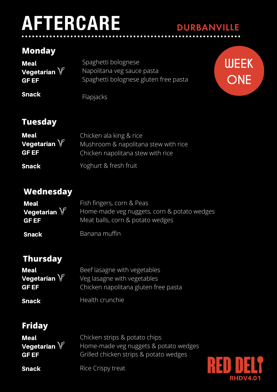# **AFTERCARE**

## **Monday**

| Meal                     | Spaghetti bolognese                   |
|--------------------------|---------------------------------------|
| Vegetarian $\mathbb {V}$ | Napolitana veg sauce pasta            |
| <b>GFEF</b>              | Spaghetti bolognese gluten free pasta |
| <b>Snack</b>             | Flapjacks                             |



**DURBANVILLE** 

## **Tuesday**

| <b>Meal</b>              | Chicken ala king & rice              |
|--------------------------|--------------------------------------|
| Vegetarian $\mathbb {V}$ | Mushroom & napolitana stew with rice |
| <b>GFEF</b>              | Chicken napolitana stew with rice    |
| <b>Snack</b>             | Yoghurt & fresh fruit                |

#### **Wednesday**

| <b>Meal</b>                  | Fish fingers, corn & Peas                                                       |
|------------------------------|---------------------------------------------------------------------------------|
| Vegetarian V<br><b>GF EF</b> | Home-made veg nuggets, corn & potato wedges<br>Meat balls, corn & potato wedges |
| <b>Snack</b>                 | Banana muffin                                                                   |

## **Thursday**

| <b>Meal</b>             | Beef lasagne with vegetables         |
|-------------------------|--------------------------------------|
| Vegetarian $\mathbb{V}$ | Veg lasagne with vegetables          |
| <b>GF EF</b>            | Chicken napolitana gluten free pasta |
| <b>Snack</b>            | Health crunchie                      |

#### **Friday**

| Meal                             | Chicken strips & potato chips                                                   |
|----------------------------------|---------------------------------------------------------------------------------|
| Vegetarian $\mathbb{V}$<br>GF EF | Home-made veg nuggets & potato wedges<br>Grilled chicken strips & potato wedges |
| <b>Snack</b>                     | Rice Crispy treat                                                               |

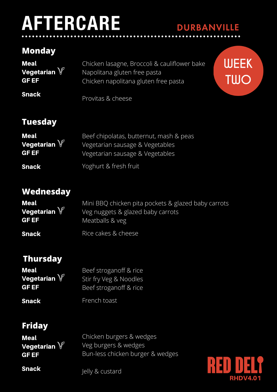# **AFTERCARE**

## **Monday**

| <b>Meal</b>    | Chicken lasagne, Broccoli & cauliflower bake |
|----------------|----------------------------------------------|
| Vegetarian $V$ | Napolitana gluten free pasta                 |
| <b>GF EF</b>   | Chicken napolitana gluten free pasta         |
| <b>Snack</b>   | Provitas & cheese                            |



**DURBANVILLE** 

#### **Tuesday**

| Meal                        | Beef chipolatas, butternut, mash & peas                            |
|-----------------------------|--------------------------------------------------------------------|
| Vegetarian V<br><b>GFEF</b> | Vegetarian sausage & Vegetables<br>Vegetarian sausage & Vegetables |
| <b>Snack</b>                | Yoghurt & fresh fruit                                              |

#### **Wednesday**

| <b>Meal</b>                            | Mini BBQ chicken pita pockets & glazed baby carrots |
|----------------------------------------|-----------------------------------------------------|
| Vegetarian $\mathbb {V}^{\mathbb {I}}$ | Veg nuggets & glazed baby carrots                   |
| <b>GF EF</b>                           | Meatballs & veg                                     |
| <b>Snack</b>                           | Rice cakes & cheese                                 |

## **Thursday**

| <b>Meal</b>             | Beef stroganoff & rice |
|-------------------------|------------------------|
| Vegetarian $\mathbb{V}$ | Stir fry Veg & Noodles |
| <b>GF EF</b>            | Beef stroganoff & rice |
| <b>Snack</b>            | French toast           |

#### **Friday**

**Snack** 

| <b>Meal</b>             | Chicken burgers & wedges         |
|-------------------------|----------------------------------|
| Vegetarian $\mathbb{V}$ | Veg burgers & wedges             |
| <b>GF EF</b>            | Bun-less chicken burger & wedges |
|                         |                                  |



Jelly & custard